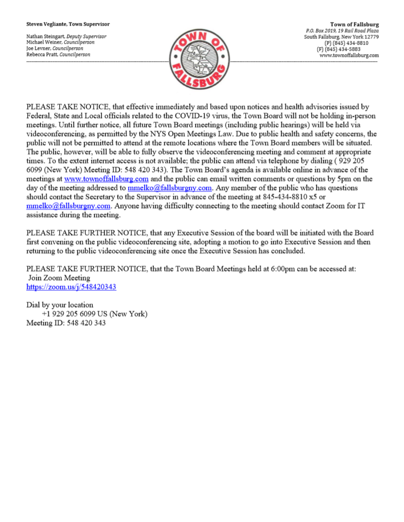#### Steven Vegliante, Town Supervisor

Nathan Steingart, Deputy Supervisor Michael Weiner, Councilperson Joe Levner, Councilperson Rebecca Pratt, Councilperson



**Town of Fallsburg** P.O. Box 2019, 19 Rail Road Plaza South Fallsburg, New York 12779 (P) (845) 434-8810 (F) (845) 434-5883 www.townoffallsburg.com

PLEASE TAKE NOTICE, that effective immediately and based upon notices and health advisories issued by Federal, State and Local officials related to the COVID-19 virus, the Town Board will not be holding in-person meetings. Until further notice, all future Town Board meetings (including public hearings) will be held via videoconferencing, as permitted by the NYS Open Meetings Law. Due to public health and safety concerns, the public will not be permitted to attend at the remote locations where the Town Board members will be situated. The public, however, will be able to fully observe the videoconferencing meeting and comment at appropriate times. To the extent internet access is not available; the public can attend via telephone by dialing (929 205 6099 (New York) Meeting ID: 548 420 343). The Town Board's agenda is available online in advance of the meetings at www.townoffallsburg.com and the public can email written comments or questions by 5pm on the day of the meeting addressed to **mmelko@fallsburgny.com**. Any member of the public who has questions should contact the Secretary to the Supervisor in advance of the meeting at 845-434-8810 x5 or  $mmelko@fallsburgny.com$ . Anyone having difficulty connecting to the meeting should contact Zoom for IT assistance during the meeting.

PLEASE TAKE FURTHER NOTICE, that any Executive Session of the board will be initiated with the Board first convening on the public videoconferencing site, adopting a motion to go into Executive Session and then returning to the public videoconferencing site once the Executive Session has concluded.

PLEASE TAKE FURTHER NOTICE, that the Town Board Meetings held at 6:00pm can be accessed at: Join Zoom Meeting https://zoom.us/j/548420343

Dial by your location +1 929 205 6099 US (New York) Meeting ID: 548 420 343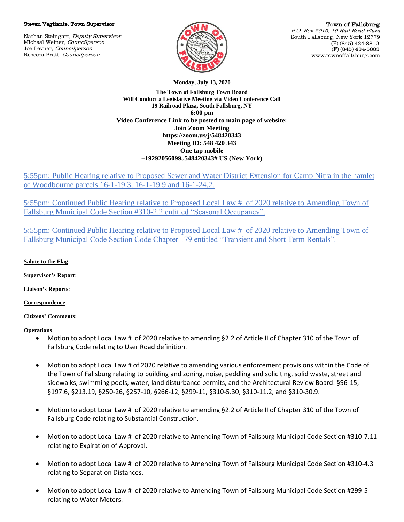#### Steven Vegliante, Town Supervisor

Nathan Steingart, Deputy Supervisor Michael Weiner, Councilperson Joe Levner, Councilperson Rebecca Pratt, Councilperson



**Monday, July 13, 2020**

**The Town of Fallsburg Town Board Will Conduct a Legislative Meeting via Video Conference Call 19 Railroad Plaza, South Fallsburg, NY 6:00 pm Video Conference Link to be posted to main page of website: Join Zoom Meeting https://zoom.us/j/548420343 Meeting ID: 548 420 343 One tap mobile +19292056099,,548420343# US (New York)**

5:55pm: Public Hearing relative to Proposed Sewer and Water District Extension for Camp Nitra in the hamlet of Woodbourne parcels 16-1-19.3, 16-1-19.9 and 16-1-24.2.

5:55pm: Continued Public Hearing relative to Proposed Local Law # of 2020 relative to Amending Town of Fallsburg Municipal Code Section #310-2.2 entitled "Seasonal Occupancy".

5:55pm: Continued Public Hearing relative to Proposed Local Law # of 2020 relative to Amending Town of Fallsburg Municipal Code Section Code Chapter 179 entitled "Transient and Short Term Rentals".

# **Salute to the Flag**:

**Supervisor's Report**:

**Liaison's Reports**:

**Correspondence**:

### **Citizens' Comments**:

### **Operations**

- Motion to adopt Local Law # of 2020 relative to amending §2.2 of Article II of Chapter 310 of the Town of Fallsburg Code relating to User Road definition.
- Motion to adopt Local Law # of 2020 relative to amending various enforcement provisions within the Code of the Town of Fallsburg relating to building and zoning, noise, peddling and soliciting, solid waste, street and sidewalks, swimming pools, water, land disturbance permits, and the Architectural Review Board: §96-15, §197.6, §213.19, §250-26, §257-10, §266-12, §299-11, §310-5.30, §310-11.2, and §310-30.9.
- Motion to adopt Local Law # of 2020 relative to amending §2.2 of Article II of Chapter 310 of the Town of Fallsburg Code relating to Substantial Construction.
- Motion to adopt Local Law # of 2020 relative to Amending Town of Fallsburg Municipal Code Section #310-7.11 relating to Expiration of Approval.
- Motion to adopt Local Law # of 2020 relative to Amending Town of Fallsburg Municipal Code Section #310-4.3 relating to Separation Distances.
- Motion to adopt Local Law # of 2020 relative to Amending Town of Fallsburg Municipal Code Section #299-5 relating to Water Meters.